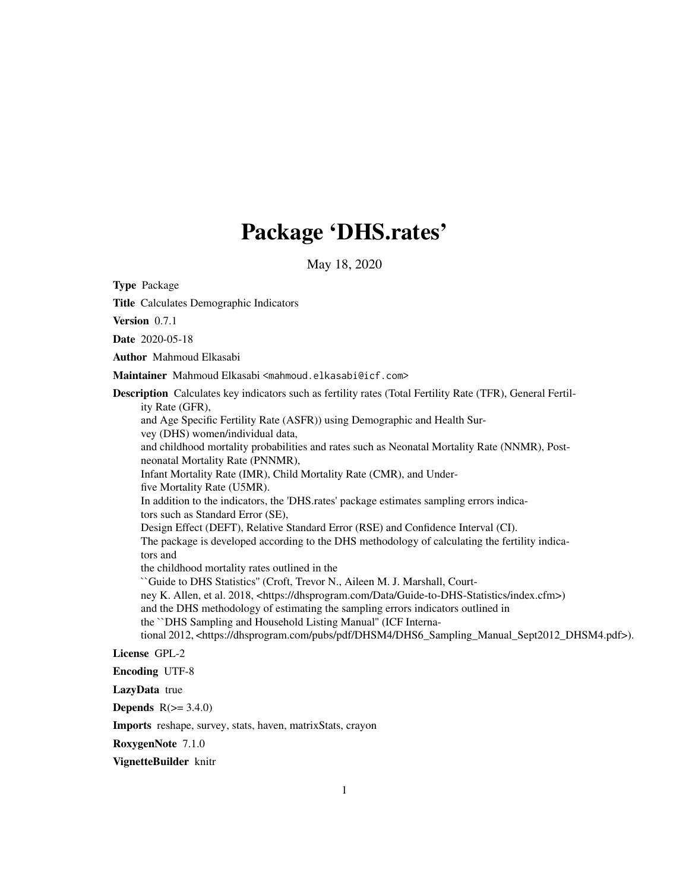# Package 'DHS.rates'

May 18, 2020

Type Package

Title Calculates Demographic Indicators

Version 0.7.1

Date 2020-05-18

Author Mahmoud Elkasabi

Maintainer Mahmoud Elkasabi <mahmoud.elkasabi@icf.com>

Description Calculates key indicators such as fertility rates (Total Fertility Rate (TFR), General Fertility Rate (GFR), and Age Specific Fertility Rate (ASFR)) using Demographic and Health Survey (DHS) women/individual data, and childhood mortality probabilities and rates such as Neonatal Mortality Rate (NNMR), Postneonatal Mortality Rate (PNNMR), Infant Mortality Rate (IMR), Child Mortality Rate (CMR), and Underfive Mortality Rate (U5MR). In addition to the indicators, the 'DHS.rates' package estimates sampling errors indicators such as Standard Error (SE), Design Effect (DEFT), Relative Standard Error (RSE) and Confidence Interval (CI). The package is developed according to the DHS methodology of calculating the fertility indicators and the childhood mortality rates outlined in the ``Guide to DHS Statistics'' (Croft, Trevor N., Aileen M. J. Marshall, Courtney K. Allen, et al. 2018, <https://dhsprogram.com/Data/Guide-to-DHS-Statistics/index.cfm>) and the DHS methodology of estimating the sampling errors indicators outlined in the ``DHS Sampling and Household Listing Manual'' (ICF International 2012, <https://dhsprogram.com/pubs/pdf/DHSM4/DHS6\_Sampling\_Manual\_Sept2012\_DHSM4.pdf>). License GPL-2 Encoding UTF-8 LazyData true

**Depends**  $R(>= 3.4.0)$ 

Imports reshape, survey, stats, haven, matrixStats, crayon

RoxygenNote 7.1.0

VignetteBuilder knitr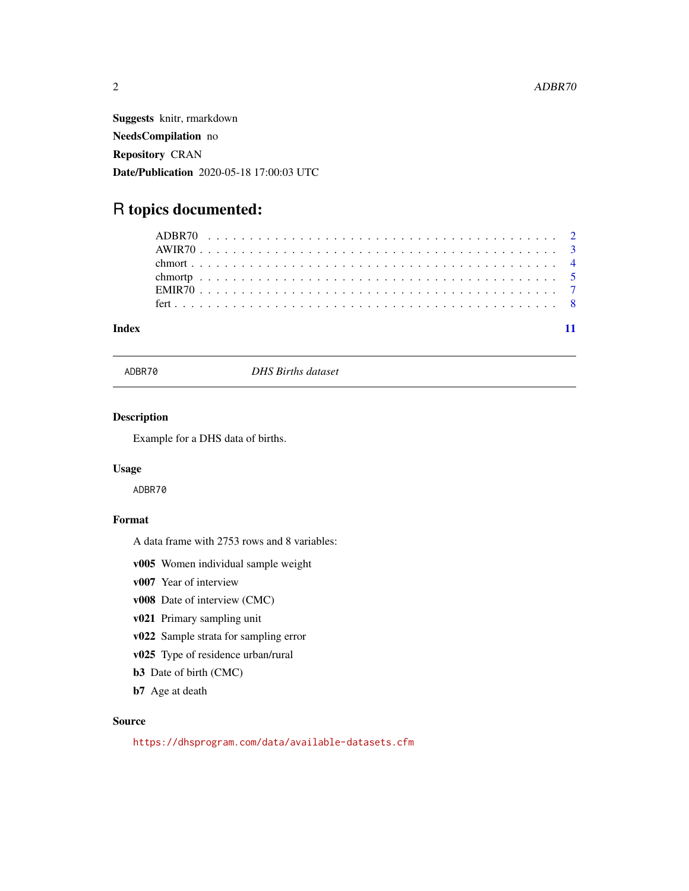<span id="page-1-0"></span>Suggests knitr, rmarkdown NeedsCompilation no Repository CRAN Date/Publication 2020-05-18 17:00:03 UTC

## R topics documented:

| Index |  |  |  |  |  |  |  |  |  |  |  |  |  |  |  |  |  |  |  |  |
|-------|--|--|--|--|--|--|--|--|--|--|--|--|--|--|--|--|--|--|--|--|

ADBR70 *DHS Births dataset*

#### Description

Example for a DHS data of births.

#### Usage

ADBR70

### Format

A data frame with 2753 rows and 8 variables:

v005 Women individual sample weight

v007 Year of interview

v008 Date of interview (CMC)

- v021 Primary sampling unit
- v022 Sample strata for sampling error
- v025 Type of residence urban/rural
- b3 Date of birth (CMC)
- b7 Age at death

#### Source

<https://dhsprogram.com/data/available-datasets.cfm>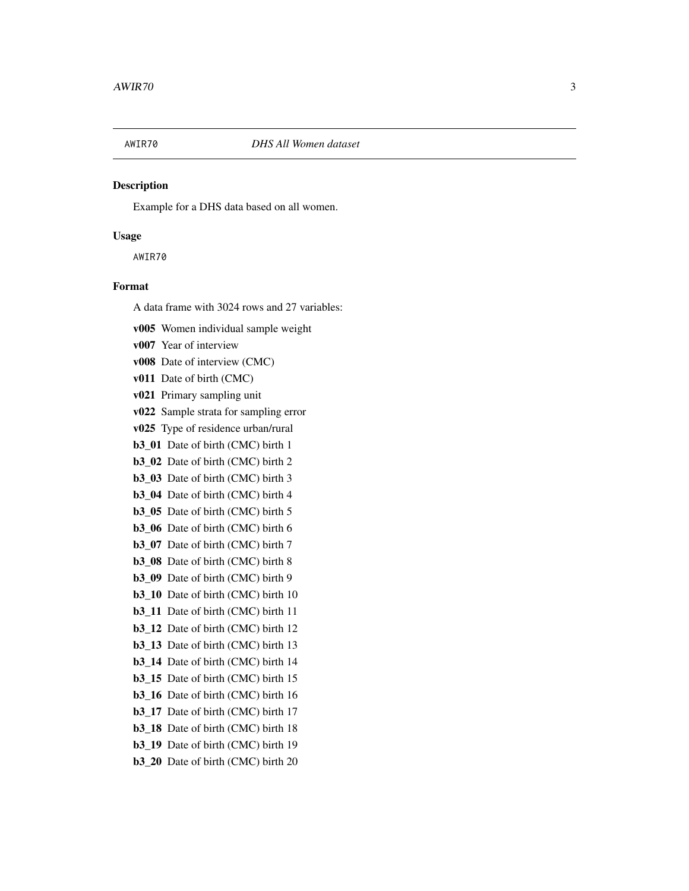<span id="page-2-0"></span>

#### Description

Example for a DHS data based on all women.

#### Usage

AWIR70

#### Format

A data frame with 3024 rows and 27 variables:

v005 Women individual sample weight

v007 Year of interview

v008 Date of interview (CMC)

v011 Date of birth (CMC)

v021 Primary sampling unit

v022 Sample strata for sampling error

v025 Type of residence urban/rural

b3\_01 Date of birth (CMC) birth 1

b3\_02 Date of birth (CMC) birth 2

b3\_03 Date of birth (CMC) birth 3

b3\_04 Date of birth (CMC) birth 4

b3\_05 Date of birth (CMC) birth 5

b3\_06 Date of birth (CMC) birth 6

b3\_07 Date of birth (CMC) birth 7

b3\_08 Date of birth (CMC) birth 8

**b3** 09 Date of birth (CMC) birth 9

b3\_10 Date of birth (CMC) birth 10

b3\_11 Date of birth (CMC) birth 11

b3\_12 Date of birth (CMC) birth 12

b3\_13 Date of birth (CMC) birth 13

b3\_14 Date of birth (CMC) birth 14

b3\_15 Date of birth (CMC) birth 15

b3\_16 Date of birth (CMC) birth 16

b3\_17 Date of birth (CMC) birth 17

b3\_18 Date of birth (CMC) birth 18

b3\_19 Date of birth (CMC) birth 19

b3\_20 Date of birth (CMC) birth 20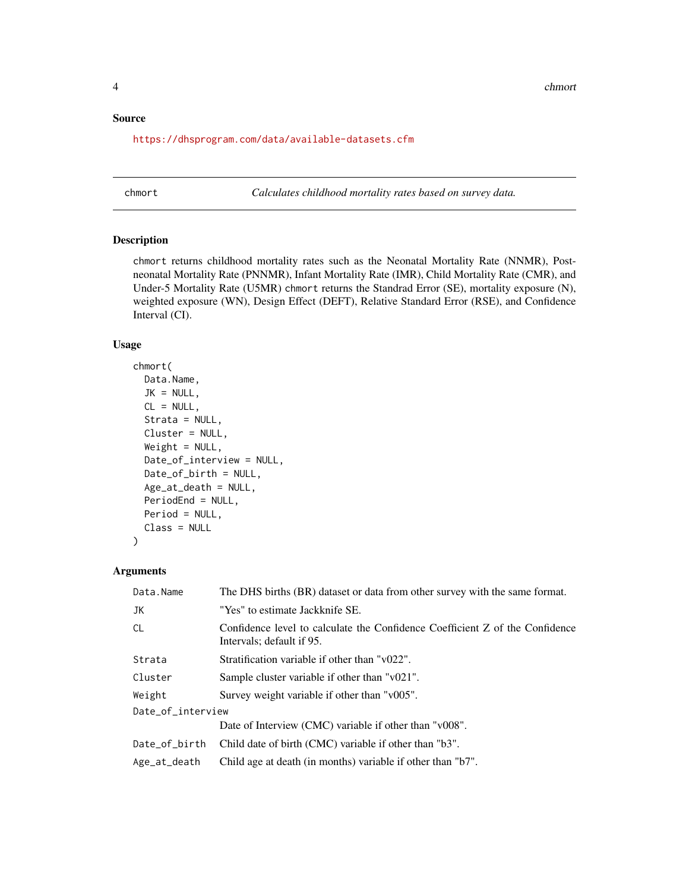#### <span id="page-3-0"></span>Source

<https://dhsprogram.com/data/available-datasets.cfm>

chmort *Calculates childhood mortality rates based on survey data.*

#### Description

chmort returns childhood mortality rates such as the Neonatal Mortality Rate (NNMR), Postneonatal Mortality Rate (PNNMR), Infant Mortality Rate (IMR), Child Mortality Rate (CMR), and Under-5 Mortality Rate (U5MR) chmort returns the Standrad Error (SE), mortality exposure (N), weighted exposure (WN), Design Effect (DEFT), Relative Standard Error (RSE), and Confidence Interval (CI).

#### Usage

```
chmort(
  Data.Name,
  JK = NULL,CL = NULL,Strata = NULL,
  Cluster = NULL,
  Weight = NULL,Date_of_interview = NULL,
  Date_of_birth = NULL,
  Age_at_death = NULL,
 PeriodEnd = NULL,
  Period = NULL,
  Class = NULL
)
```
#### Arguments

| Data.Name         | The DHS births (BR) dataset or data from other survey with the same format.                               |
|-------------------|-----------------------------------------------------------------------------------------------------------|
| JK                | "Yes" to estimate Jackknife SE.                                                                           |
| CL                | Confidence level to calculate the Confidence Coefficient Z of the Confidence<br>Intervals; default if 95. |
| Strata            | Stratification variable if other than "v022".                                                             |
| Cluster           | Sample cluster variable if other than " $v021$ ".                                                         |
| Weight            | Survey weight variable if other than "v005".                                                              |
| Date_of_interview |                                                                                                           |
|                   | Date of Interview (CMC) variable if other than "v008".                                                    |
| Date_of_birth     | Child date of birth (CMC) variable if other than "b3".                                                    |
| Age_at_death      | Child age at death (in months) variable if other than "b7".                                               |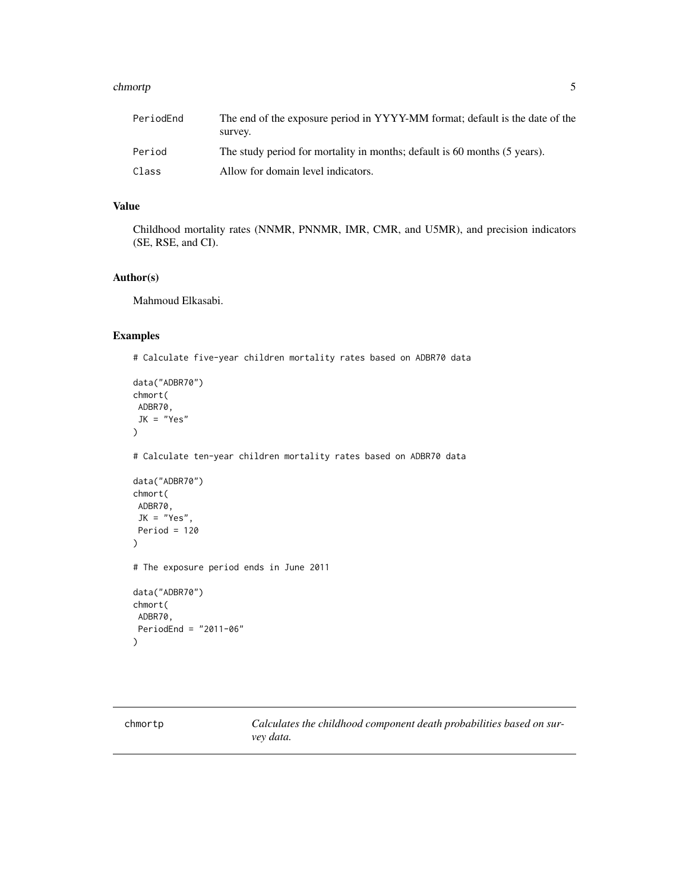#### <span id="page-4-0"></span>chmortp 5

| Period | The study period for mortality in months; default is 60 months (5 years). |
|--------|---------------------------------------------------------------------------|
| Class  | Allow for domain level indicators.                                        |

#### Value

Childhood mortality rates (NNMR, PNNMR, IMR, CMR, and U5MR), and precision indicators (SE, RSE, and CI).

#### Author(s)

Mahmoud Elkasabi.

#### Examples

```
# Calculate five-year children mortality rates based on ADBR70 data
```

```
data("ADBR70")
chmort(
ADBR70,
JK = "Yes"
)
# Calculate ten-year children mortality rates based on ADBR70 data
data("ADBR70")
chmort(
ADBR70,
JK = "Yes",Period = 120
)
# The exposure period ends in June 2011
data("ADBR70")
chmort(
ADBR70,
PeriodEnd = "2011-06"
)
```
chmortp *Calculates the childhood component death probabilities based on survey data.*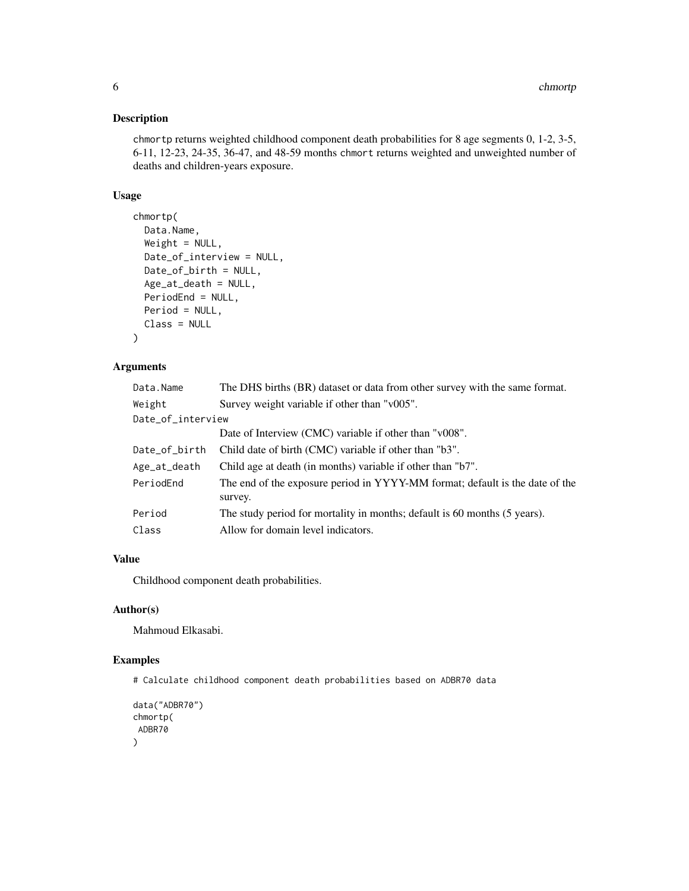#### Description

chmortp returns weighted childhood component death probabilities for 8 age segments 0, 1-2, 3-5, 6-11, 12-23, 24-35, 36-47, and 48-59 months chmort returns weighted and unweighted number of deaths and children-years exposure.

#### Usage

```
chmortp(
 Data.Name,
 Weight = NULL,Date_of_interview = NULL,
 Date_of_birth = NULL,
  Age_at_death = NULL,
 PeriodEnd = NULL,
 Period = NULL,
  Class = NULL
)
```
#### Arguments

| Data.Name         | The DHS births (BR) dataset or data from other survey with the same format.             |
|-------------------|-----------------------------------------------------------------------------------------|
| Weight            | Survey weight variable if other than "v005".                                            |
| Date_of_interview |                                                                                         |
|                   | Date of Interview (CMC) variable if other than "v008".                                  |
| Date_of_birth     | Child date of birth (CMC) variable if other than "b3".                                  |
| Age_at_death      | Child age at death (in months) variable if other than "b7".                             |
| PeriodEnd         | The end of the exposure period in YYYY-MM format; default is the date of the<br>survey. |
| Period            | The study period for mortality in months; default is 60 months (5 years).               |
| Class             | Allow for domain level indicators.                                                      |
|                   |                                                                                         |

#### Value

Childhood component death probabilities.

#### Author(s)

Mahmoud Elkasabi.

#### Examples

# Calculate childhood component death probabilities based on ADBR70 data

```
data("ADBR70")
chmortp(
ADBR70
\mathcal{L}
```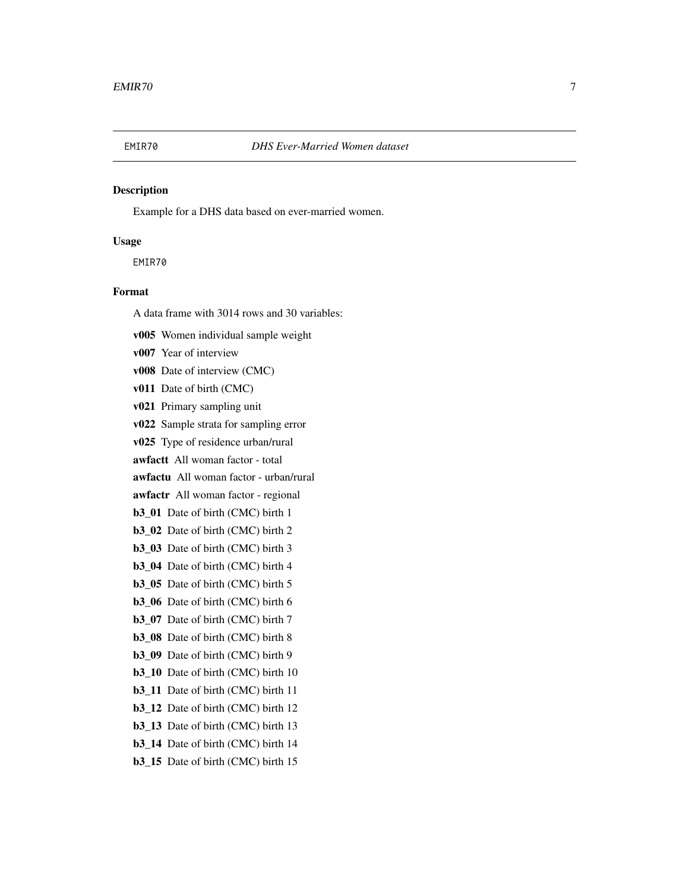<span id="page-6-0"></span>

#### Description

Example for a DHS data based on ever-married women.

#### Usage

EMIR70

#### Format

A data frame with 3014 rows and 30 variables:

- v005 Women individual sample weight v007 Year of interview
- v008 Date of interview (CMC)
- v011 Date of birth (CMC)
- v021 Primary sampling unit
- v022 Sample strata for sampling error
- v025 Type of residence urban/rural
- awfactt All woman factor total
- awfactu All woman factor urban/rural
- awfactr All woman factor regional
- b3\_01 Date of birth (CMC) birth 1
- b3\_02 Date of birth (CMC) birth 2
- b3\_03 Date of birth (CMC) birth 3
- b3\_04 Date of birth (CMC) birth 4
- b3\_05 Date of birth (CMC) birth 5
- b3\_06 Date of birth (CMC) birth 6
- b3\_07 Date of birth (CMC) birth 7
- b3\_08 Date of birth (CMC) birth 8
- b3\_09 Date of birth (CMC) birth 9
- b3\_10 Date of birth (CMC) birth 10
- b3\_11 Date of birth (CMC) birth 11
- b3\_12 Date of birth (CMC) birth 12
- b3\_13 Date of birth (CMC) birth 13
- b3\_14 Date of birth (CMC) birth 14
- b3\_15 Date of birth (CMC) birth 15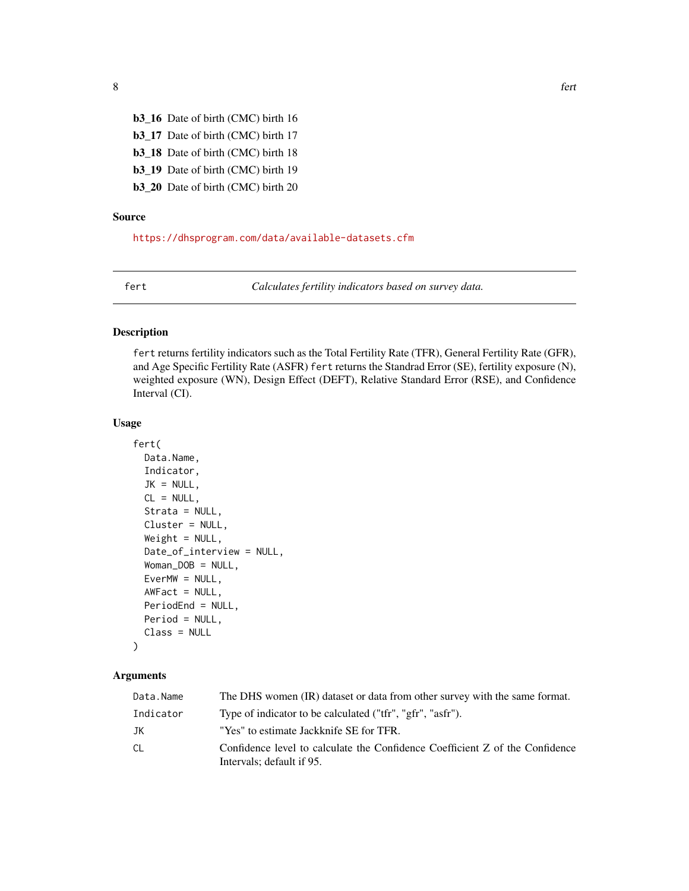<span id="page-7-0"></span>b3\_16 Date of birth (CMC) birth 16 b3\_17 Date of birth (CMC) birth 17 b3\_18 Date of birth (CMC) birth 18 b3\_19 Date of birth (CMC) birth 19 b3\_20 Date of birth (CMC) birth 20

#### Source

<https://dhsprogram.com/data/available-datasets.cfm>

fert *Calculates fertility indicators based on survey data.*

#### Description

fert returns fertility indicators such as the Total Fertility Rate (TFR), General Fertility Rate (GFR), and Age Specific Fertility Rate (ASFR) fert returns the Standrad Error (SE), fertility exposure (N), weighted exposure (WN), Design Effect (DEFT), Relative Standard Error (RSE), and Confidence Interval (CI).

#### Usage

```
fert(
 Data.Name,
  Indicator,
  JK = NULL,CL = NULL,Strata = NULL,
 Cluster = NULL,
 Weight = NULL,Date_of_interview = NULL,
 Woman_DOB = NULL,
 EverMW = NULL,
 AWFact = NULL,PeriodEnd = NULL,
 Period = NULL,
  Class = NULL
```
)

#### Arguments

| Data.Name     | The DHS women (IR) dataset or data from other survey with the same format.                                |
|---------------|-----------------------------------------------------------------------------------------------------------|
| Indicator     | Type of indicator to be calculated ("tfr", "gfr", "asfr").                                                |
| JK            | "Yes" to estimate Jackknife SE for TFR.                                                                   |
| <sub>CL</sub> | Confidence level to calculate the Confidence Coefficient Z of the Confidence<br>Intervals; default if 95. |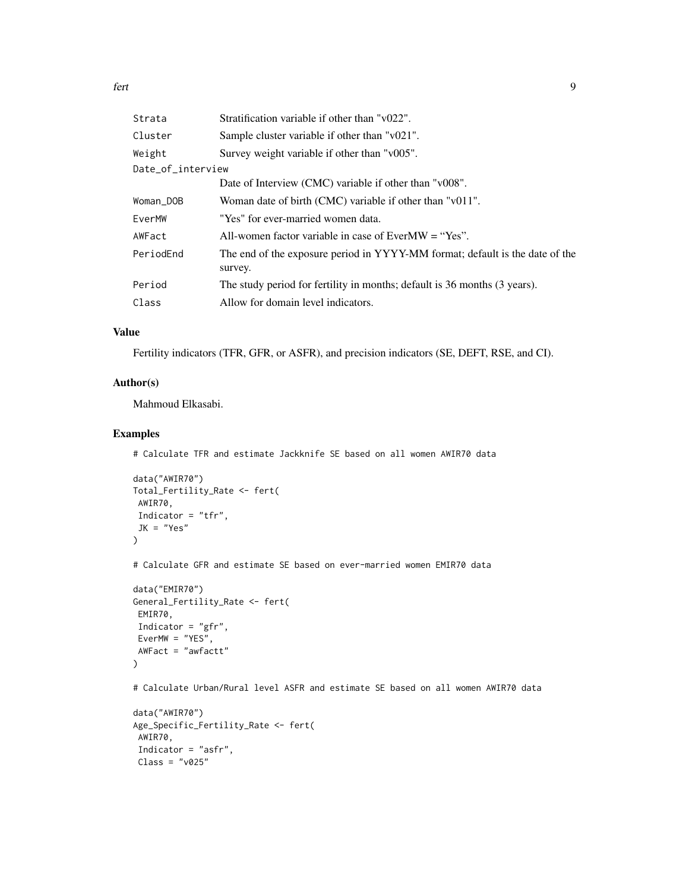| Strata            | Stratification variable if other than "v022".                                           |
|-------------------|-----------------------------------------------------------------------------------------|
| Cluster           | Sample cluster variable if other than " $v021$ ".                                       |
| Weight            | Survey weight variable if other than "v005".                                            |
| Date_of_interview |                                                                                         |
|                   | Date of Interview (CMC) variable if other than "v008".                                  |
| Woman_DOB         | Woman date of birth (CMC) variable if other than "v011".                                |
| EverMW            | "Yes" for ever-married women data.                                                      |
| AWFact            | All-women factor variable in case of EverMW $=$ "Yes".                                  |
| PeriodEnd         | The end of the exposure period in YYYY-MM format; default is the date of the<br>survey. |
| Period            | The study period for fertility in months; default is 36 months (3 years).               |
| Class             | Allow for domain level indicators.                                                      |

#### Value

Fertility indicators (TFR, GFR, or ASFR), and precision indicators (SE, DEFT, RSE, and CI).

#### Author(s)

Mahmoud Elkasabi.

### Examples

# Calculate TFR and estimate Jackknife SE based on all women AWIR70 data

```
data("AWIR70")
Total_Fertility_Rate <- fert(
AWIR70,
Indicator = "tfr",
JK = "Yes")
```
# Calculate GFR and estimate SE based on ever-married women EMIR70 data

```
data("EMIR70")
General_Fertility_Rate <- fert(
EMIR70,
Indicator = "gfr",EveryM = "YES",AWFact = "awfactt"
\mathcal{L}
```
# Calculate Urban/Rural level ASFR and estimate SE based on all women AWIR70 data

```
data("AWIR70")
Age_Specific_Fertility_Rate <- fert(
AWIR70,
Indicator = "asfr",
Class = "v025"
```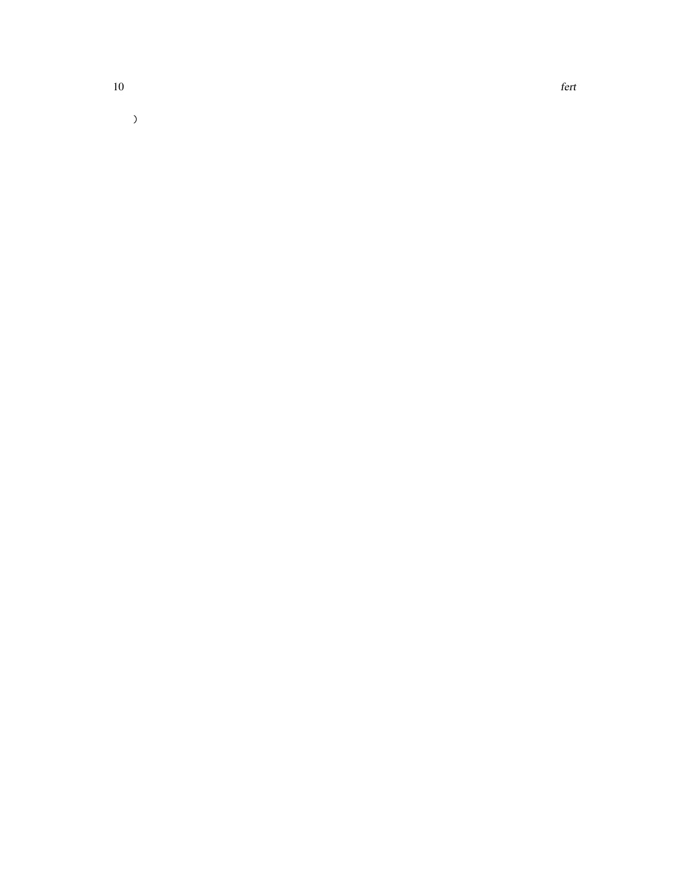$\overline{\phantom{a}}$ 

10 fert and the set of the set of the set of the set of the set of the set of the set of the set of the set of the set of the set of the set of the set of the set of the set of the set of the set of the set of the set of t